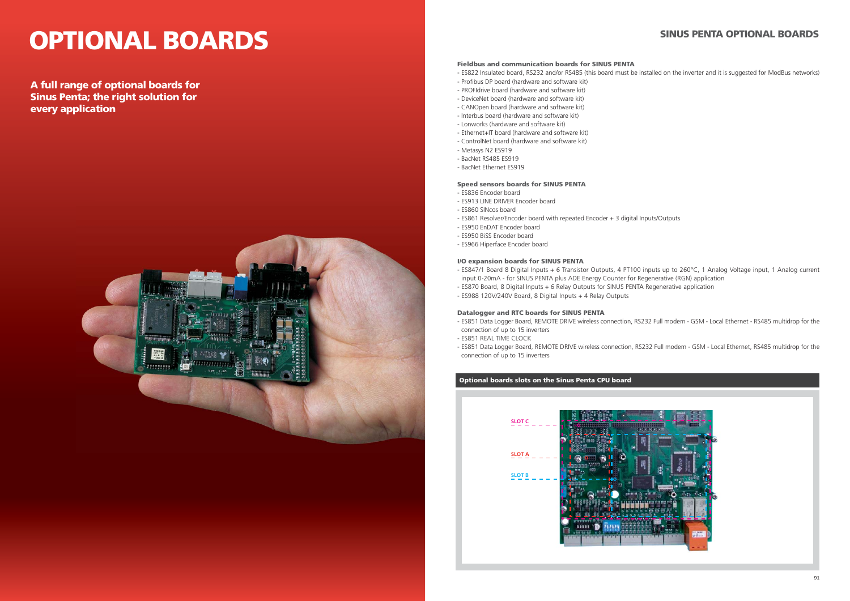# **OPTIONAL BOARDS**

**A full range of optional boards for Sinus Penta; the right solution for every application**



### **SINUS PENTA OPTIONAL BOARDS**

#### **Fieldbus and communication boards for SINUS PENTA**

- ES822 Insulated board, RS232 and/or RS485 (this board must be installed on the inverter and it is suggested for ModBus networks)

- 
- Profibus DP board (hardware and software kit)
- PROFIdrive board (hardware and software kit)
- DeviceNet board (hardware and software kit)
- CANOpen board (hardware and software kit)
- Interbus board (hardware and software kit)
- Lonworks (hardware and software kit)
- Ethernet+IT board (hardware and software kit) - ControlNet board (hardware and software kit)
- Metasys N2 ES919
- BacNet RS485 ES919
- BacNet Ethernet ES919

#### **Speed sensors boards for SINUS PENTA**

- ES836 Encoder board
- ES913 LINE DRIVER Encoder board
- ES860 SINcos board
- ES861 Resolver/Encoder board with repeated Encoder + 3 digital Inputs/Outputs
- ES950 EnDAT Encoder board
- ES950 BiSS Encoder board
- ES966 Hiperface Encoder board

#### **I/O expansion boards for SINUS PENTA**

- ES847/1 Board 8 Digital Inputs + 6 Transistor Outputs, 4 PT100 inputs up to 260°C, 1 Analog Voltage input, 1 Analog current input 0-20mA - for SINUS PENTA plus ADE Energy Counter for Regenerative (RGN) application
- ES870 Board, 8 Digital Inputs + 6 Relay Outputs for SINUS PENTA Regenerative application
- ES988 120V/240V Board, 8 Digital Inputs + 4 Relay Outputs

#### **Datalogger and RTC boards for SINUS PENTA**

- ES851 Data Logger Board, REMOTE DRIVE wireless connection, RS232 Full modem GSM Local Ethernet RS485 multidrop for the connection of up to 15 inverters
- ES851 REAL TIME CLOCK
- connection of up to 15 inverters

- ES851 Data Logger Board, REMOTE DRIVE wireless connection, RS232 Full modem - GSM - Local Ethernet, RS485 multidrop for the

### **Optional boards slots on the Sinus Penta CPU board**

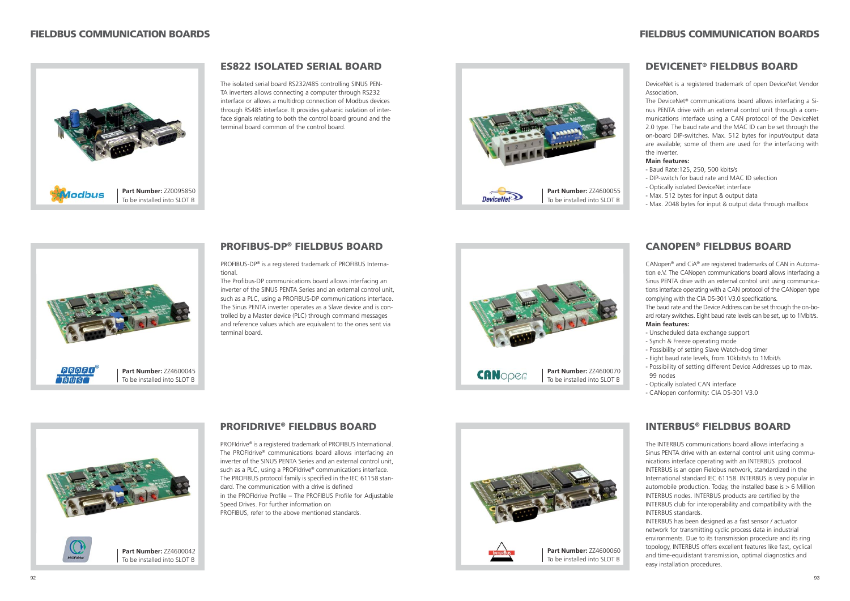### **ES822 ISOLATED SERIAL BOARD**

The isolated serial board RS232/485 controlling SINUS PEN-TA inverters allows connecting a computer through RS232 interface or allows a multidrop connection of Modbus devices through RS485 interface. It provides galvanic isolation of interface signals relating to both the control board ground and the terminal board common of the control board.



The Profibus-DP communications board allows interfacing an inverter of the SINUS PENTA Series and an external control unit, such as a PLC, using a PROFIBUS-DP communications interface. The Sinus PENTA inverter operates as a Slave device and is controlled by a Master device (PLC) through command messages and reference values which are equivalent to the ones sent via terminal board.

PROFIBUS-DP® is a registered trademark of PROFIBUS International.

### **PROFIDRIVE® FIELDBUS BOARD**

CANopen® and CiA® are registered trademarks of CAN in Automation e.V. The CANopen communications board allows interfacing a Sinus PENTA drive with an external control unit using communications interface operating with a CAN protocol of the CANopen type complying with the CIA DS-301 V3.0 specifications.

PROFIdrive® is a registered trademark of PROFIBUS International. The PROFIdrive® communications board allows interfacing an inverter of the SINUS PENTA Series and an external control unit, such as a PLC, using a PROFIdrive® communications interface. The PROFIBUS protocol family is specified in the IEC 61158 standard. The communication with a drive is defined in the PROFIdrive Profile – The PROFIBUS Profile for Adjustable Speed Drives. For further information on PROFIBUS, refer to the above mentioned standards.



### **PROFIBUS-DP® FIELDBUS BOARD**



### **DEVICENET® FIELDBUS BOARD**

DeviceNet is a registered trademark of open DeviceNet Vendor Association.

The DeviceNet® communications board allows interfacing a Sinus PENTA drive with an external control unit through a communications interface using a CAN protocol of the DeviceNet 2.0 type. The baud rate and the MAC ID can be set through the on-board DIP-switches. Max. 512 bytes for input/output data are available; some of them are used for the interfacing with the inverter.

#### **Main features:**

- Baud Rate:125, 250, 500 kbits/s
- DIP-switch for baud rate and MAC ID selection
- Optically isolated DeviceNet interface
- Max. 512 bytes for input & output data
- Max. 2048 bytes for input & output data through mailbox

### **FIELDBUS COMMUNICATION BOARDS**

### **CANOPEN® FIELDBUS BOARD**

The baud rate and the Device Address can be set through the on-board rotary switches. Eight baud rate levels can be set, up to 1Mbit/s. **Main features:**

- Unscheduled data exchange support
- Synch & Freeze operating mode
- Possibility of setting Slave Watch-dog timer
- Eight baud rate levels, from 10kbits/s to 1Mbit/s
- Possibility of setting different Device Addresses up to max. 99 nodes
- Optically isolated CAN interface
- CANopen conformity: CIA DS-301 V3.0

### **INTERBUS® FIELDBUS BOARD**

The INTERBUS communications board allows interfacing a Sinus PENTA drive with an external control unit using communications interface operating with an INTERBUS protocol. INTERBUS is an open Fieldbus network, standardized in the International standard IEC 61158. INTERBUS is very popular in automobile production. Today, the installed base is  $> 6$  Million INTERBUS nodes. INTERBUS products are certified by the INTERBUS club for interoperability and compatibility with the INTERBUS standards.

INTERBUS has been designed as a fast sensor / actuator network for transmitting cyclic process data in industrial environments. Due to its transmission procedure and its ring topology, INTERBUS offers excellent features like fast, cyclical and time-equidistant transmission, optimal diagnostics and easy installation procedures.









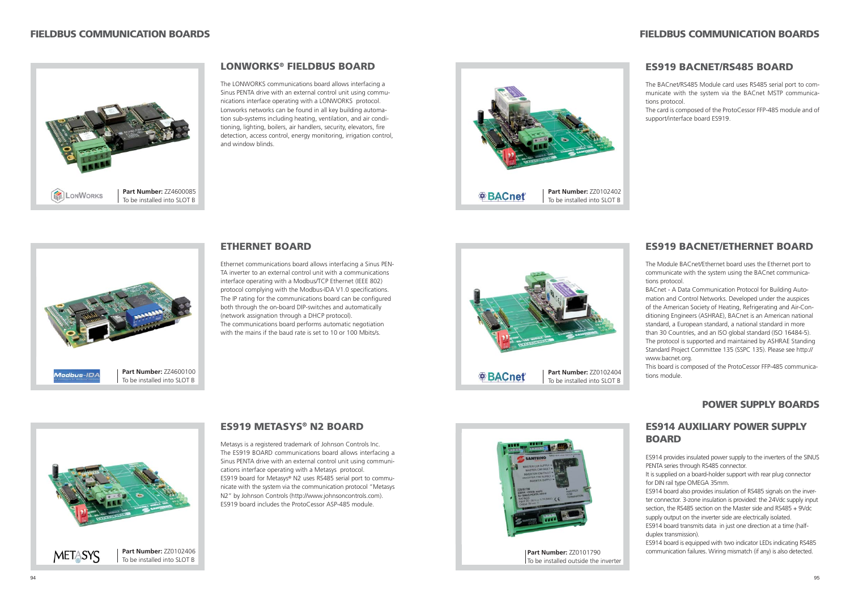### **LONWORKS® FIELDBUS BOARD**

The LONWORKS communications board allows interfacing a Sinus PENTA drive with an external control unit using communications interface operating with a LONWORKS protocol. Lonworks networks can be found in all key building automation sub-systems including heating, ventilation, and air conditioning, lighting, boilers, air handlers, security, elevators, fire detection, access control, energy monitoring, irrigation control, and window blinds.

### **ETHERNET BOARD**

Ethernet communications board allows interfacing a Sinus PEN-TA inverter to an external control unit with a communications interface operating with a Modbus/TCP Ethernet (IEEE 802) protocol complying with the Modbus-IDA V1.0 specifications. The IP rating for the communications board can be configured both through the on-board DIP-switches and automatically (network assignation through a DHCP protocol). The communications board performs automatic negotiation with the mains if the baud rate is set to 10 or 100 Mbits/s.

### **ES919 METASYS® N2 BOARD**

Metasys is a registered trademark of Johnson Controls Inc. The ES919 BOARD communications board allows interfacing a Sinus PENTA drive with an external control unit using communications interface operating with a Metasys protocol. ES919 board for Metasys® N2 uses RS485 serial port to communicate with the system via the communication protocol "Metasys N2" by Johnson Controls (http://www.johnsoncontrols.com). ES919 board includes the ProtoCessor ASP-485 module.









### **FIELDBUS COMMUNICATION BOARDS**

### **POWER SUPPLY BOARDS**

### **ES919 BACNET/RS485 BOARD**

The BACnet/RS485 Module card uses RS485 serial port to communicate with the system via the BACnet MSTP communications protocol.

The card is composed of the ProtoCessor FFP-485 module and of support/interface board ES919.

### **ES919 BACNET/ETHERNET BOARD**

The Module BACnet/Ethernet board uses the Ethernet port to communicate with the system using the BACnet communications protocol.

BACnet - A Data Communication Protocol for Building Automation and Control Networks. Developed under the auspices of the American Society of Heating, Refrigerating and Air-Conditioning Engineers (ASHRAE), BACnet is an American national standard, a European standard, a national standard in more than 30 Countries, and an ISO global standard (ISO 16484-5). The protocol is supported and maintained by ASHRAE Standing Standard Project Committee 135 (SSPC 135). Please see http:// www.bacnet.org.

This board is composed of the ProtoCessor FFP-485 communications module.

### **ES914 AUXILIARY POWER SUPPLY BOARD**

ES914 provides insulated power supply to the inverters of the SINUS PENTA series through RS485 connector.

It is supplied on a board-holder support with rear plug connector for DIN rail type OMEGA 35mm.

ES914 board also provides insulation of RS485 signals on the inverter connector. 3-zone insulation is provided: the 24Vdc supply input section, the RS485 section on the Master side and RS485 + 9Vdc supply output on the inverter side are electrically isolated.

ES914 board transmits data in just one direction at a time (halfduplex transmission).

ES914 board is equipped with two indicator LEDs indicating RS485 communication failures. Wiring mismatch (if any) is also detected.





**Part Number:** ZZ0101790 To be installed outside the inverter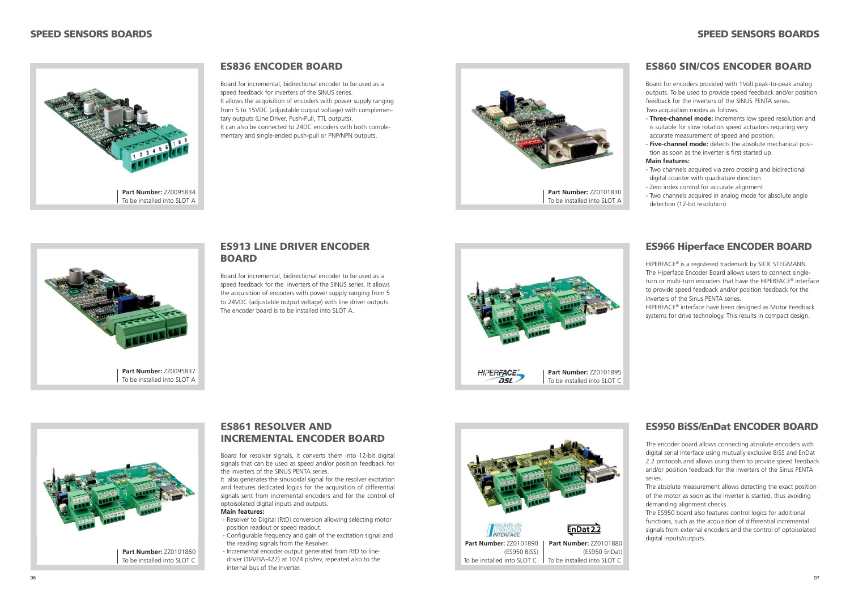### **ES913 LINE DRIVER ENCODER BOARD**

Board for incremental, bidirectional encoder to be used as a speed feedback for the inverters of the SINUS series. It allows the acquisition of encoders with power supply ranging from 5 to 24VDC (adjustable output voltage) with line driver outputs. The encoder board is to be installed into SLOT A.

### **SPEED SENSORS BOARDS**

### **ES836 ENCODER BOARD**

- **Three-channel mode:** increments low speed resolution and is suitable for slow rotation speed actuators requiring very accurate measurement of speed and position.
- **Five-channel mode:** detects the absolute mechanical position as soon as the inverter is first started up.

Board for incremental, bidirectional encoder to be used as a speed feedback for inverters of the SINUS series. It allows the acquisition of encoders with power supply ranging from 5 to 15VDC (adjustable output voltage) with complementary outputs (Line Driver, Push-Pull, TTL outputs). It can also be connected to 24DC encoders with both complementary and single-ended push-pull or PNP/NPN outputs.





### **ES860 SIN/COS ENCODER BOARD**

Board for encoders provided with 1Volt peak-to-peak analog outputs. To be used to provide speed feedback and/or position feedback for the inverters of the SINUS PENTA series. Two acquisition modes as follows:

#### **Main features:**

- Two channels acquired via zero crossing and bidirectional digital counter with quadrature direction
- Zero index control for accurate alignment
- Two channels acquired in analog mode for absolute angle detection (12-bit resolution)

### **ES966 Hiperface ENCODER BOARD**

HIPERFACE® is a registered trademark by SICK STEGMANN. The Hiperface Encoder Board allows users to connect singleturn or multi-turn encoders that have the HIPERFACE® interface to provide speed feedback and/or position feedback for the inverters of the Sinus PENTA series.

HIPERFACE® interface have been designed as Motor Feedback systems for drive technology. This results in compact design.

## **ES950 BiSS/EnDat ENCODER BOARD**

The encoder board allows connecting absolute encoders with digital serial interface using mutually exclusive BiSS and EnDat 2.2 protocols and allows using them to provide speed feedback and/or position feedback for the inverters of the Sinus PENTA series.

The absolute measurement allows detecting the exact position of the motor as soon as the inverter is started, thus avoiding demanding alignment checks.

The ES950 board also features control logics for additional functions, such as the acquisition of differential incremental signals from external encoders and the control of optoisolated digital inputs/outputs.







### **ES861 RESOLVER AND INCREMENTAL ENCODER BOARD**

Board for resolver signals, it converts them into 12-bit digital signals that can be used as speed and/or position feedback for the inverters of the SINUS PENTA series.

It also generates the sinusoidal signal for the resolver excitation and features dedicated logics for the acquisition of differential signals sent from incremental encoders and for the control of optoisolated digital inputs and outputs.

#### **Main features:**

- Resolver to Digital (RtD) conversion allowing selecting motor position readout or speed readout.
- Configurable frequency and gain of the excitation signal and the reading signals from the Resolver.
- Incremental encoder output generated from RtD to linedriver (TIA/EIA-422) at 1024 pls/rev, repeated also to the internal bus of the inverter.

![](_page_3_Picture_9.jpeg)